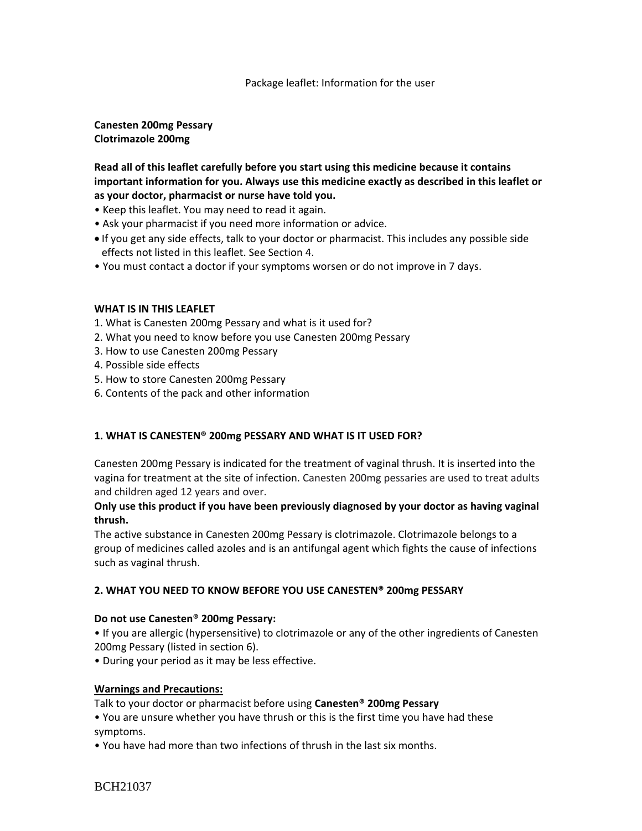#### Package leaflet: Information for the user

**Canesten 200mg Pessary Clotrimazole 200mg**

**Read all of this leaflet carefully before you start using this medicine because it contains important information for you. Always use this medicine exactly as described in this leaflet or as your doctor, pharmacist or nurse have told you.**

- Keep this leaflet. You may need to read it again.
- Ask your pharmacist if you need more information or advice.
- If you get any side effects, talk to your doctor or pharmacist. This includes any possible side effects not listed in this leaflet. See Section 4.
- You must contact a doctor if your symptoms worsen or do not improve in 7 days.

### **WHAT IS IN THIS LEAFLET**

- 1. What is Canesten 200mg Pessary and what is it used for?
- 2. What you need to know before you use Canesten 200mg Pessary
- 3. How to use Canesten 200mg Pessary
- 4. Possible side effects
- 5. How to store Canesten 200mg Pessary
- 6. Contents of the pack and other information

### **1. WHAT IS CANESTEN® 200mg PESSARY AND WHAT IS IT USED FOR?**

Canesten 200mg Pessary is indicated for the treatment of vaginal thrush. It is inserted into the vagina for treatment at the site of infection. Canesten 200mg pessaries are used to treat adults and children aged 12 years and over.

### **Only use this product if you have been previously diagnosed by your doctor as having vaginal thrush.**

The active substance in Canesten 200mg Pessary is clotrimazole. Clotrimazole belongs to a group of medicines called azoles and is an antifungal agent which fights the cause of infections such as vaginal thrush.

#### **2. WHAT YOU NEED TO KNOW BEFORE YOU USE CANESTEN® 200mg PESSARY**

#### **Do not use Canesten® 200mg Pessary:**

• If you are allergic (hypersensitive) to clotrimazole or any of the other ingredients of Canesten 200mg Pessary (listed in section 6).

• During your period as it may be less effective.

#### **Warnings and Precautions:**

Talk to your doctor or pharmacist before using **Canesten® 200mg Pessary**

• You are unsure whether you have thrush or this is the first time you have had these symptoms.

• You have had more than two infections of thrush in the last six months.

BCH21037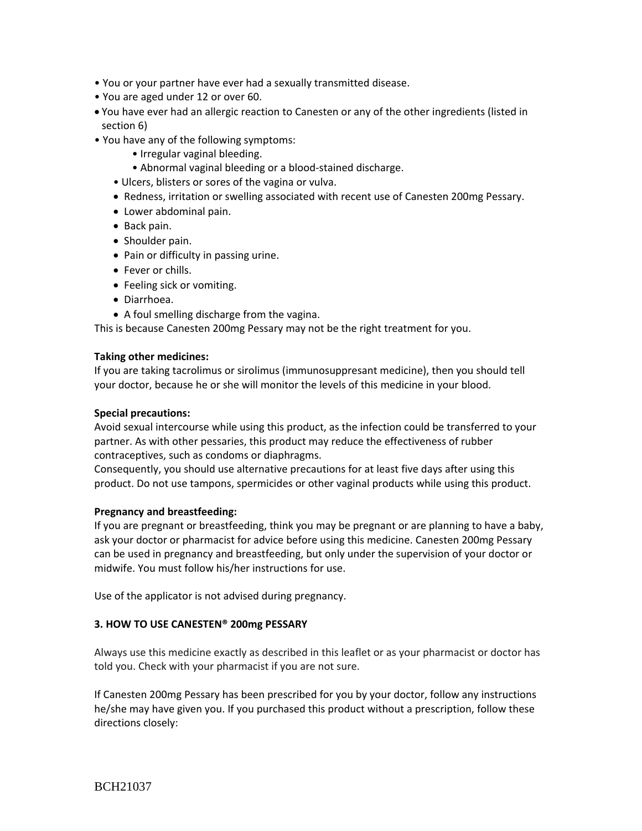- You or your partner have ever had a sexually transmitted disease.
- You are aged under 12 or over 60.
- You have ever had an allergic reaction to Canesten or any of the other ingredients (listed in section 6)
- You have any of the following symptoms:
	- Irregular vaginal bleeding.
	- Abnormal vaginal bleeding or a blood-stained discharge.
	- Ulcers, blisters or sores of the vagina or vulva.
	- Redness, irritation or swelling associated with recent use of Canesten 200mg Pessary.
	- Lower abdominal pain.
	- Back pain.
	- Shoulder pain.
	- Pain or difficulty in passing urine.
	- Fever or chills.
	- Feeling sick or vomiting.
	- Diarrhoea.
	- A foul smelling discharge from the vagina.

This is because Canesten 200mg Pessary may not be the right treatment for you.

#### **Taking other medicines:**

If you are taking tacrolimus or sirolimus (immunosuppresant medicine), then you should tell your doctor, because he or she will monitor the levels of this medicine in your blood.

#### **Special precautions:**

Avoid sexual intercourse while using this product, as the infection could be transferred to your partner. As with other pessaries, this product may reduce the effectiveness of rubber contraceptives, such as condoms or diaphragms.

Consequently, you should use alternative precautions for at least five days after using this product. Do not use tampons, spermicides or other vaginal products while using this product.

#### **Pregnancy and breastfeeding:**

If you are pregnant or breastfeeding, think you may be pregnant or are planning to have a baby, ask your doctor or pharmacist for advice before using this medicine. Canesten 200mg Pessary can be used in pregnancy and breastfeeding, but only under the supervision of your doctor or midwife. You must follow his/her instructions for use.

Use of the applicator is not advised during pregnancy.

#### **3. HOW TO USE CANESTEN® 200mg PESSARY**

Always use this medicine exactly as described in this leaflet or as your pharmacist or doctor has told you. Check with your pharmacist if you are not sure.

If Canesten 200mg Pessary has been prescribed for you by your doctor, follow any instructions he/she may have given you. If you purchased this product without a prescription, follow these directions closely: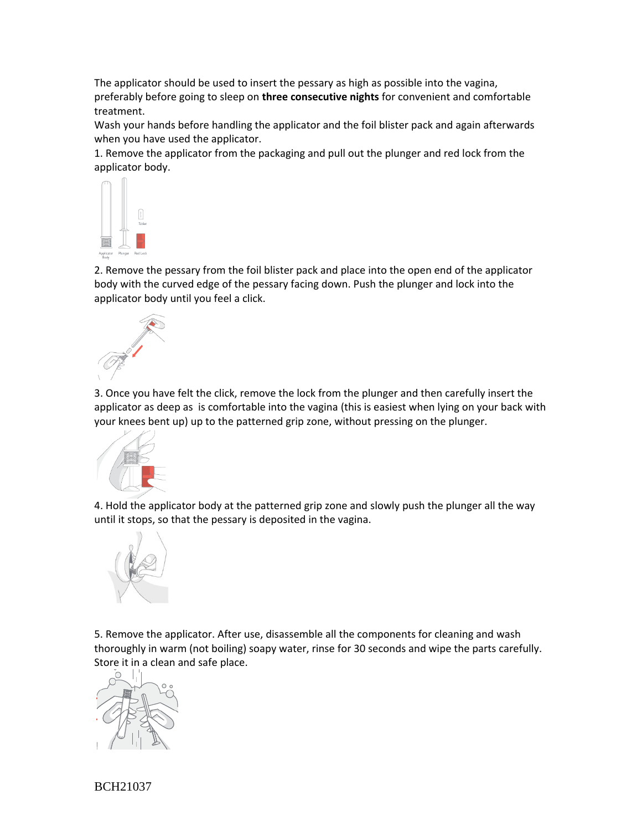The applicator should be used to insert the pessary as high as possible into the vagina, preferably before going to sleep on **three consecutive nights** for convenient and comfortable treatment.

Wash your hands before handling the applicator and the foil blister pack and again afterwards when you have used the applicator.

1. Remove the applicator from the packaging and pull out the plunger and red lock from the applicator body.



2. Remove the pessary from the foil blister pack and place into the open end of the applicator body with the curved edge of the pessary facing down. Push the plunger and lock into the applicator body until you feel a click.



3. Once you have felt the click, remove the lock from the plunger and then carefully insert the applicator as deep as is comfortable into the vagina (this is easiest when lying on your back with your knees bent up) up to the patterned grip zone, without pressing on the plunger.



4. Hold the applicator body at the patterned grip zone and slowly push the plunger all the way until it stops, so that the pessary is deposited in the vagina.



5. Remove the applicator. After use, disassemble all the components for cleaning and wash thoroughly in warm (not boiling) soapy water, rinse for 30 seconds and wipe the parts carefully. Store it in a clean and safe place.



BCH21037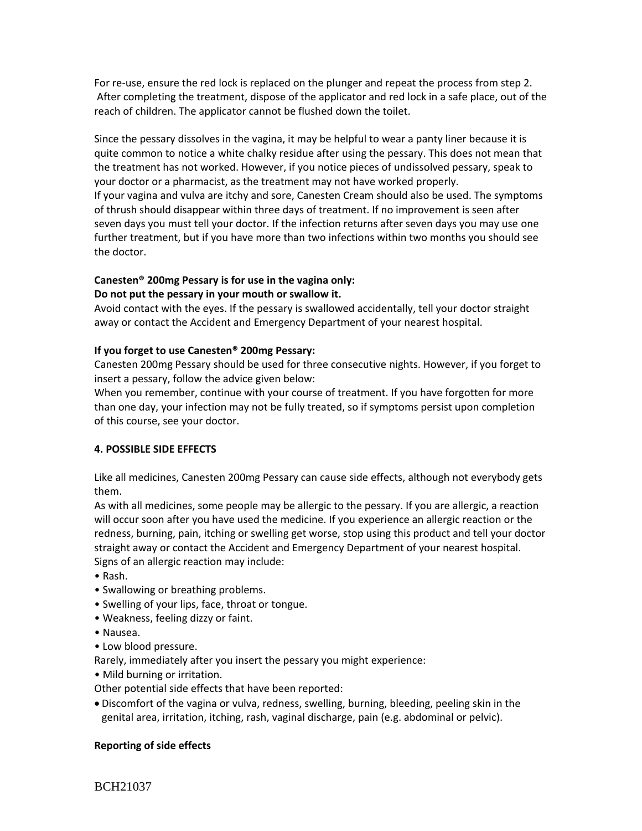For re-use, ensure the red lock is replaced on the plunger and repeat the process from step 2. After completing the treatment, dispose of the applicator and red lock in a safe place, out of the reach of children. The applicator cannot be flushed down the toilet.

Since the pessary dissolves in the vagina, it may be helpful to wear a panty liner because it is quite common to notice a white chalky residue after using the pessary. This does not mean that the treatment has not worked. However, if you notice pieces of undissolved pessary, speak to your doctor or a pharmacist, as the treatment may not have worked properly. If your vagina and vulva are itchy and sore, Canesten Cream should also be used. The symptoms of thrush should disappear within three days of treatment. If no improvement is seen after seven days you must tell your doctor. If the infection returns after seven days you may use one further treatment, but if you have more than two infections within two months you should see the doctor.

# **Canesten® 200mg Pessary is for use in the vagina only:**

### **Do not put the pessary in your mouth or swallow it.**

Avoid contact with the eyes. If the pessary is swallowed accidentally, tell your doctor straight away or contact the Accident and Emergency Department of your nearest hospital.

### **If you forget to use Canesten® 200mg Pessary:**

Canesten 200mg Pessary should be used for three consecutive nights. However, if you forget to insert a pessary, follow the advice given below:

When you remember, continue with your course of treatment. If you have forgotten for more than one day, your infection may not be fully treated, so if symptoms persist upon completion of this course, see your doctor.

### **4. POSSIBLE SIDE EFFECTS**

Like all medicines, Canesten 200mg Pessary can cause side effects, although not everybody gets them.

As with all medicines, some people may be allergic to the pessary. If you are allergic, a reaction will occur soon after you have used the medicine. If you experience an allergic reaction or the redness, burning, pain, itching or swelling get worse, stop using this product and tell your doctor straight away or contact the Accident and Emergency Department of your nearest hospital. Signs of an allergic reaction may include:

- Rash.
- Swallowing or breathing problems.
- Swelling of your lips, face, throat or tongue.
- Weakness, feeling dizzy or faint.
- Nausea.
- Low blood pressure.

Rarely, immediately after you insert the pessary you might experience:

- Mild burning or irritation.
- Other potential side effects that have been reported:
- Discomfort of the vagina or vulva, redness, swelling, burning, bleeding, peeling skin in the genital area, irritation, itching, rash, vaginal discharge, pain (e.g. abdominal or pelvic).

### **Reporting of side effects**

BCH21037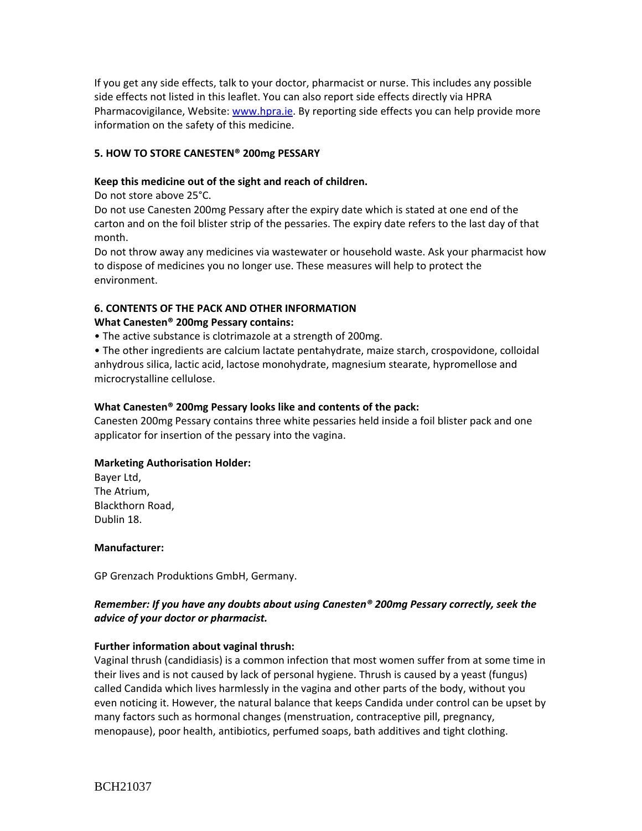If you get any side effects, talk to your doctor, pharmacist or nurse. This includes any possible side effects not listed in this leaflet. You can also report side effects directly via HPRA Pharmacovigilance, Website[: www.hpra.ie.](http://www.hpra.ie/) By reporting side effects you can help provide more information on the safety of this medicine.

### **5. HOW TO STORE CANESTEN® 200mg PESSARY**

### **Keep this medicine out of the sight and reach of children.**

Do not store above 25°C.

Do not use Canesten 200mg Pessary after the expiry date which is stated at one end of the carton and on the foil blister strip of the pessaries. The expiry date refers to the last day of that month.

Do not throw away any medicines via wastewater or household waste. Ask your pharmacist how to dispose of medicines you no longer use. These measures will help to protect the environment.

# **6. CONTENTS OF THE PACK AND OTHER INFORMATION**

### **What Canesten® 200mg Pessary contains:**

• The active substance is clotrimazole at a strength of 200mg.

• The other ingredients are calcium lactate pentahydrate, maize starch, crospovidone, colloidal anhydrous silica, lactic acid, lactose monohydrate, magnesium stearate, hypromellose and microcrystalline cellulose.

### **What Canesten® 200mg Pessary looks like and contents of the pack:**

Canesten 200mg Pessary contains three white pessaries held inside a foil blister pack and one applicator for insertion of the pessary into the vagina.

#### **Marketing Authorisation Holder:**

Bayer Ltd, The Atrium, Blackthorn Road, Dublin 18.

#### **Manufacturer:**

GP Grenzach Produktions GmbH, Germany.

# *Remember: If you have any doubts about using Canesten® 200mg Pessary correctly, seek the advice of your doctor or pharmacist.*

### **Further information about vaginal thrush:**

Vaginal thrush (candidiasis) is a common infection that most women suffer from at some time in their lives and is not caused by lack of personal hygiene. Thrush is caused by a yeast (fungus) called Candida which lives harmlessly in the vagina and other parts of the body, without you even noticing it. However, the natural balance that keeps Candida under control can be upset by many factors such as hormonal changes (menstruation, contraceptive pill, pregnancy, menopause), poor health, antibiotics, perfumed soaps, bath additives and tight clothing.